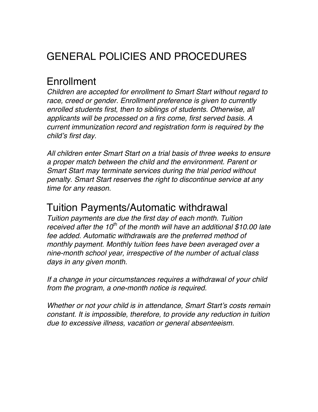# GENERAL POLICIES AND PROCEDURES

### Enrollment

*Children are accepted for enrollment to Smart Start without regard to race, creed or gender. Enrollment preference is given to currently enrolled students first, then to siblings of students. Otherwise, all applicants will be processed on a firs come, first served basis. A current immunization record and registration form is required by the child's first day.*

*All children enter Smart Start on a trial basis of three weeks to ensure a proper match between the child and the environment. Parent or Smart Start may terminate services during the trial period without penalty. Smart Start reserves the right to discontinue service at any time for any reason.*

#### Tuition Payments/Automatic withdrawal

*Tuition payments are due the first day of each month. Tuition received after the 10th of the month will have an additional \$10.00 late fee added. Automatic withdrawals are the preferred method of monthly payment. Monthly tuition fees have been averaged over a nine-month school year, irrespective of the number of actual class days in any given month.* 

*If a change in your circumstances requires a withdrawal of your child from the program, a one-month notice is required.*

*Whether or not your child is in attendance, Smart Start's costs remain constant. It is impossible, therefore, to provide any reduction in tuition due to excessive illness, vacation or general absenteeism.*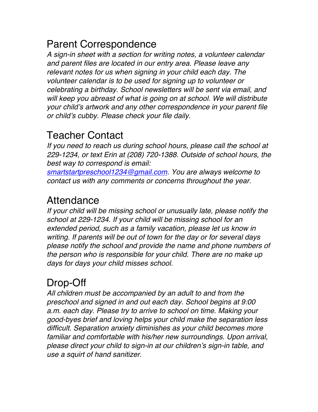## Parent Correspondence

*A sign-in sheet with a section for writing notes, a volunteer calendar and parent files are located in our entry area. Please leave any relevant notes for us when signing in your child each day. The volunteer calendar is to be used for signing up to volunteer or celebrating a birthday. School newsletters will be sent via email, and will keep you abreast of what is going on at school. We will distribute your child's artwork and any other correspondence in your parent file or child's cubby. Please check your file daily.*

### Teacher Contact

*If you need to reach us during school hours, please call the school at 229-1234, or text Erin at (208) 720-1388. Outside of school hours, the best way to correspond is email:* 

*smartstartpreschool1234@gmail.com. You are always welcome to contact us with any comments or concerns throughout the year.*

### Attendance

*If your child will be missing school or unusually late, please notify the school at 229-1234. If your child will be missing school for an extended period, such as a family vacation, please let us know in writing. If parents will be out of town for the day or for several days please notify the school and provide the name and phone numbers of the person who is responsible for your child. There are no make up days for days your child misses school.*

## Drop-Off

*All children must be accompanied by an adult to and from the preschool and signed in and out each day. School begins at 9:00 a.m. each day. Please try to arrive to school on time. Making your good-byes brief and loving helps your child make the separation less difficult. Separation anxiety diminishes as your child becomes more familiar and comfortable with his/her new surroundings. Upon arrival, please direct your child to sign-in at our children's sign-in table, and use a squirt of hand sanitizer.*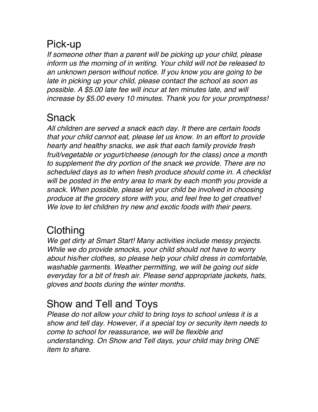## Pick-up

*If someone other than a parent will be picking up your child, please inform us the morning of in writing. Your child will not be released to an unknown person without notice. If you know you are going to be late in picking up your child, please contact the school as soon as possible. A \$5.00 late fee will incur at ten minutes late, and will increase by \$5.00 every 10 minutes. Thank you for your promptness!*

## **Snack**

*All children are served a snack each day. It there are certain foods that your child cannot eat, please let us know. In an effort to provide hearty and healthy snacks, we ask that each family provide fresh fruit/vegetable or yogurt/cheese (enough for the class) once a month to supplement the dry portion of the snack we provide. There are no scheduled days as to when fresh produce should come in. A checklist will be posted in the entry area to mark by each month you provide a snack. When possible, please let your child be involved in choosing produce at the grocery store with you, and feel free to get creative! We love to let children try new and exotic foods with their peers.*

## **Clothing**

*We get dirty at Smart Start! Many activities include messy projects. While we do provide smocks, your child should not have to worry about his/her clothes, so please help your child dress in comfortable, washable garments. Weather permitting, we will be going out side everyday for a bit of fresh air. Please send appropriate jackets, hats, gloves and boots during the winter months.*

## Show and Tell and Toys

*Please do not allow your child to bring toys to school unless it is a show and tell day. However, if a special toy or security item needs to come to school for reassurance, we will be flexible and understanding. On Show and Tell days, your child may bring ONE item to share.*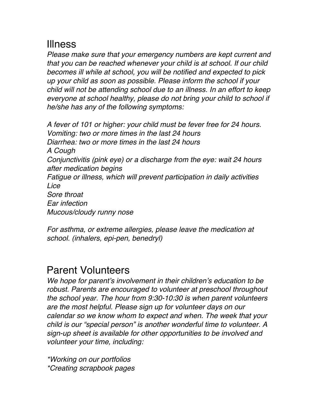### Illness

*Please make sure that your emergency numbers are kept current and that you can be reached whenever your child is at school. If our child becomes ill while at school, you will be notified and expected to pick up your child as soon as possible. Please inform the school if your child will not be attending school due to an illness. In an effort to keep everyone at school healthy, please do not bring your child to school if he/she has any of the following symptoms:*

*A fever of 101 or higher: your child must be fever free for 24 hours. Vomiting: two or more times in the last 24 hours Diarrhea: two or more times in the last 24 hours A Cough Conjunctivitis (pink eye) or a discharge from the eye: wait 24 hours after medication begins Fatigue or illness, which will prevent participation in daily activities Lice Sore throat Ear infection Mucous/cloudy runny nose*

*For asthma, or extreme allergies, please leave the medication at school. (inhalers, epi-pen, benedryl)* 

#### Parent Volunteers

*We hope for parent's involvement in their children's education to be robust. Parents are encouraged to volunteer at preschool throughout the school year. The hour from 9:30-10:30 is when parent volunteers are the most helpful. Please sign up for volunteer days on our calendar so we know whom to expect and when. The week that your child is our "special person" is another wonderful time to volunteer. A sign-up sheet is available for other opportunities to be involved and volunteer your time, including:*

*\*Working on our portfolios \*Creating scrapbook pages*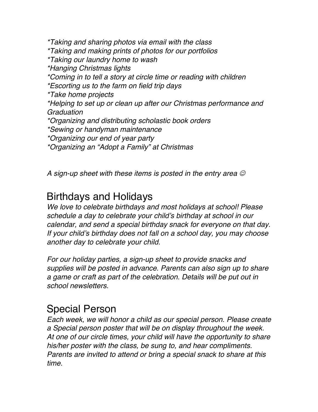*\*Taking and sharing photos via email with the class \*Taking and making prints of photos for our portfolios \*Taking our laundry home to wash \*Hanging Christmas lights \*Coming in to tell a story at circle time or reading with children \*Escorting us to the farm on field trip days \*Take home projects \*Helping to set up or clean up after our Christmas performance and Graduation \*Organizing and distributing scholastic book orders \*Sewing or handyman maintenance \*Organizing our end of year party \*Organizing an "Adopt a Family" at Christmas*

*A sign-up sheet with these items is posted in the entry area*

#### Birthdays and Holidays

*We love to celebrate birthdays and most holidays at school! Please schedule a day to celebrate your child's birthday at school in our calendar, and send a special birthday snack for everyone on that day. If your child's birthday does not fall on a school day, you may choose another day to celebrate your child.*

*For our holiday parties, a sign-up sheet to provide snacks and supplies will be posted in advance. Parents can also sign up to share a game or craft as part of the celebration. Details will be put out in school newsletters.*

#### Special Person

*Each week, we will honor a child as our special person. Please create a Special person poster that will be on display throughout the week. At one of our circle times, your child will have the opportunity to share his/her poster with the class, be sung to, and hear compliments. Parents are invited to attend or bring a special snack to share at this time.*